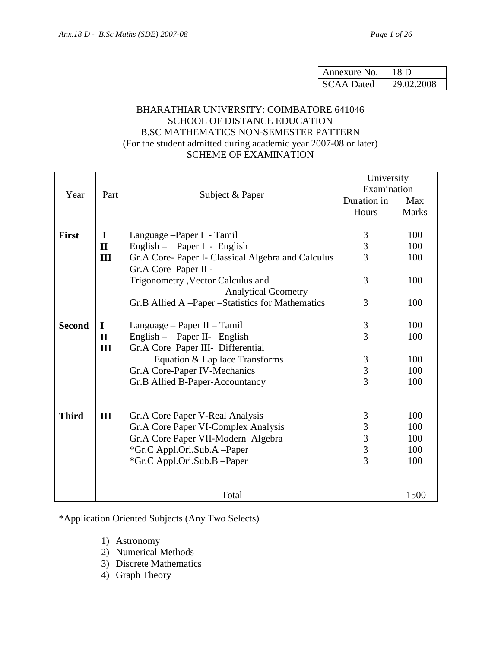| Annexure No.      | 18 D       |
|-------------------|------------|
| <b>SCAA Dated</b> | 29.02.2008 |

# BHARATHIAR UNIVERSITY: COIMBATORE 641046 SCHOOL OF DISTANCE EDUCATION B.SC MATHEMATICS NON-SEMESTER PATTERN (For the student admitted during academic year 2007-08 or later) SCHEME OF EXAMINATION

|               |              |                                                    | University                                 |      |
|---------------|--------------|----------------------------------------------------|--------------------------------------------|------|
| Year          | Part         | Subject & Paper                                    | Examination                                |      |
|               |              |                                                    | Duration in                                | Max  |
|               |              | Hours                                              | <b>Marks</b>                               |      |
|               |              |                                                    |                                            |      |
| <b>First</b>  | $\bf{I}$     | Language - Paper I - Tamil                         |                                            | 100  |
|               | $\mathbf{I}$ | English – Paper I - English                        | $\frac{3}{3}$                              | 100  |
|               | III          | Gr.A Core- Paper I- Classical Algebra and Calculus |                                            | 100  |
|               |              | Gr.A Core Paper II -                               |                                            |      |
|               |              | Trigonometry , Vector Calculus and                 | 3                                          | 100  |
|               |              | <b>Analytical Geometry</b>                         |                                            |      |
|               |              | Gr.B Allied A -Paper -Statistics for Mathematics   | 3                                          | 100  |
|               |              |                                                    |                                            |      |
| <b>Second</b> | $\bf{I}$     | Language – Paper II – Tamil                        | $\mathfrak{Z}$                             | 100  |
|               | $\mathbf{I}$ | English - Paper II- English                        | $\overline{3}$                             | 100  |
|               | III          | Gr.A Core Paper III- Differential                  |                                            |      |
|               |              | Equation & Lap lace Transforms                     | $\mathfrak{Z}$                             | 100  |
|               |              | Gr.A Core-Paper IV-Mechanics                       | $\frac{3}{3}$                              | 100  |
|               |              | Gr.B Allied B-Paper-Accountancy                    |                                            | 100  |
|               |              |                                                    |                                            |      |
|               |              |                                                    |                                            |      |
| <b>Third</b>  | III          | Gr.A Core Paper V-Real Analysis                    | $\mathfrak{Z}$                             | 100  |
|               |              | Gr.A Core Paper VI-Complex Analysis                |                                            | 100  |
|               |              | Gr.A Core Paper VII-Modern Algebra                 |                                            | 100  |
|               |              | *Gr.C Appl.Ori.Sub.A -Paper                        | $\begin{array}{c} 3 \\ 3 \\ 3 \end{array}$ | 100  |
|               |              | *Gr.C Appl.Ori.Sub.B -Paper                        |                                            | 100  |
|               |              |                                                    |                                            |      |
|               |              |                                                    |                                            |      |
|               |              | Total                                              |                                            | 1500 |

\*Application Oriented Subjects (Any Two Selects)

- 1) Astronomy
- 2) Numerical Methods
- 3) Discrete Mathematics
- 4) Graph Theory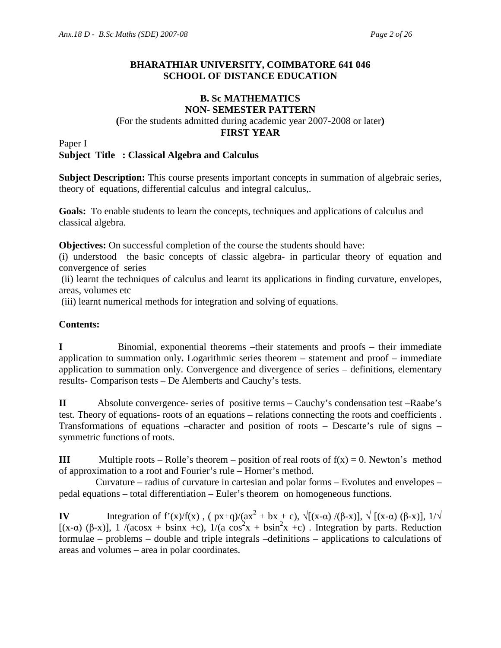# **BHARATHIAR UNIVERSITY, COIMBATORE 641 046 SCHOOL OF DISTANCE EDUCATION**

# **B. Sc MATHEMATICS NON- SEMESTER PATTERN**

# **(**For the students admitted during academic year 2007-2008 or later**)**

# **FIRST YEAR**

Paper I

# **Subject Title : Classical Algebra and Calculus**

**Subject Description:** This course presents important concepts in summation of algebraic series, theory of equations, differential calculus and integral calculus,.

**Goals:** To enable students to learn the concepts, techniques and applications of calculus and classical algebra.

**Objectives:** On successful completion of the course the students should have:

(i) understood the basic concepts of classic algebra- in particular theory of equation and convergence of series

 (ii) learnt the techniques of calculus and learnt its applications in finding curvature, envelopes, areas, volumes etc

(iii) learnt numerical methods for integration and solving of equations.

# **Contents:**

**I** Binomial, exponential theorems –their statements and proofs – their immediate application to summation only**.** Logarithmic series theorem – statement and proof – immediate application to summation only. Convergence and divergence of series – definitions, elementary results- Comparison tests – De Alemberts and Cauchy's tests.

**II** Absolute convergence- series of positive terms – Cauchy's condensation test –Raabe's test. Theory of equations- roots of an equations – relations connecting the roots and coefficients . Transformations of equations –character and position of roots – Descarte's rule of signs – symmetric functions of roots.

**III** Multiple roots – Rolle's theorem – position of real roots of  $f(x) = 0$ . Newton's method of approximation to a root and Fourier's rule – Horner's method.

 Curvature – radius of curvature in cartesian and polar forms – Evolutes and envelopes – pedal equations – total differentiation – Euler's theorem on homogeneous functions.

**IV** Integration of  $f'(x)/f(x)$ ,  $(\frac{px+q}{ax^2} + bx + c)$ ,  $\sqrt{[(x-\alpha)/(\beta-x)]}$ ,  $\sqrt{[(x-\alpha)(\beta-x)]}$ ,  $1/\sqrt{[x-\alpha](x-\alpha)}$ [(x- $\alpha$ ) (β-x)], 1 /(acosx + bsinx +c), 1/(a cos<sup>2</sup>x + bsin<sup>2</sup>x +c). Integration by parts. Reduction formulae – problems – double and triple integrals –definitions – applications to calculations of areas and volumes – area in polar coordinates.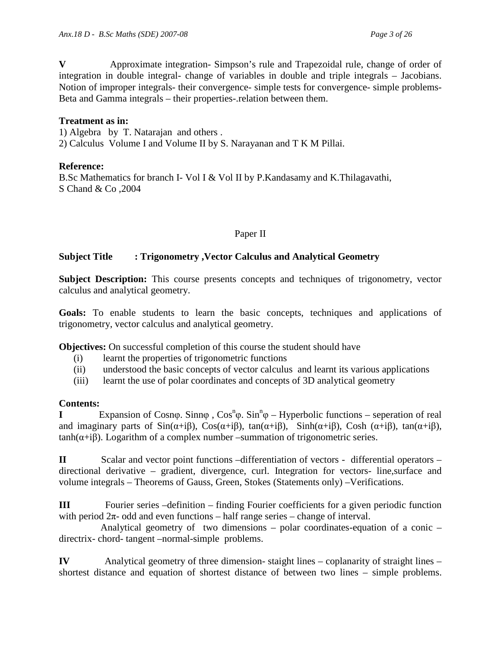**V** Approximate integration- Simpson's rule and Trapezoidal rule, change of order of integration in double integral- change of variables in double and triple integrals – Jacobians. Notion of improper integrals- their convergence- simple tests for convergence- simple problems-Beta and Gamma integrals – their properties-.relation between them.

# **Treatment as in:**

1) Algebra by T. Natarajan and others .

2) Calculus Volume I and Volume II by S. Narayanan and T K M Pillai.

# **Reference:**

B.Sc Mathematics for branch I- Vol I & Vol II by P.Kandasamy and K.Thilagavathi, S Chand & Co ,2004

# Paper II

# **Subject Title : Trigonometry ,Vector Calculus and Analytical Geometry**

Subject Description: This course presents concepts and techniques of trigonometry, vector calculus and analytical geometry.

**Goals:** To enable students to learn the basic concepts, techniques and applications of trigonometry, vector calculus and analytical geometry.

**Objectives:** On successful completion of this course the student should have

- (i) learnt the properties of trigonometric functions
- (ii) understood the basic concepts of vector calculus and learnt its various applications
- (iii) learnt the use of polar coordinates and concepts of 3D analytical geometry

# **Contents:**

**I** Expansion of Cosnφ. Sinnφ, Cos<sup>n</sup>φ. Sin<sup>n</sup>φ – Hyperbolic functions – seperation of real and imaginary parts of  $Sin(\alpha+i\beta)$ ,  $Cos(\alpha+i\beta)$ ,  $tan(\alpha+i\beta)$ ,  $Sinh(\alpha+i\beta)$ ,  $Cosh(\alpha+i\beta)$ ,  $tan(\alpha+i\beta)$ ,  $tanh(\alpha+i\beta)$ . Logarithm of a complex number –summation of trigonometric series.

**II** Scalar and vector point functions –differentiation of vectors - differential operators – directional derivative – gradient, divergence, curl. Integration for vectors- line,surface and volume integrals – Theorems of Gauss, Green, Stokes (Statements only) –Verifications.

**III** Fourier series –definition – finding Fourier coefficients for a given periodic function with period  $2\pi$ - odd and even functions – half range series – change of interval.

 Analytical geometry of two dimensions – polar coordinates-equation of a conic – directrix- chord- tangent –normal-simple problems.

**IV** Analytical geometry of three dimension- staight lines – coplanarity of straight lines – shortest distance and equation of shortest distance of between two lines – simple problems.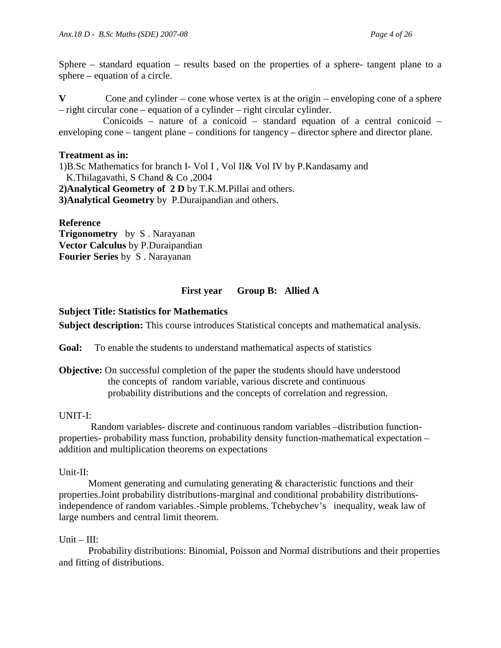Sphere – standard equation – results based on the properties of a sphere- tangent plane to a sphere – equation of a circle.

Cone and cylinder – cone whose vertex is at the origin – enveloping cone of a sphere – right circular cone – equation of a cylinder – right circular cylinder.

 Conicoids – nature of a conicoid – standard equation of a central conicoid – enveloping cone – tangent plane – conditions for tangency – director sphere and director plane.

# **Treatment as in:**

1)B.Sc Mathematics for branch I- Vol I , Vol II& Vol IV by P.Kandasamy and K.Thilagavathi, S Chand & Co ,2004 **2)Analytical Geometry of 2 D** by T.K.M.Pillai and others. **3)Analytical Geometry** by P.Duraipandian and others.

**Reference Trigonometry** by S . Narayanan **Vector Calculus** by P.Duraipandian **Fourier Series** by S . Narayanan

# **First year Group B: Allied A**

# **Subject Title: Statistics for Mathematics**

**Subject description:** This course introduces Statistical concepts and mathematical analysis.

**Goal:** To enable the students to understand mathematical aspects of statistics

**Objective:** On successful completion of the paper the students should have understood the concepts of random variable, various discrete and continuous probability distributions and the concepts of correlation and regression.

# UNIT-I:

 Random variables- discrete and continuous random variables –distribution functionproperties- probability mass function, probability density function-mathematical expectation – addition and multiplication theorems on expectations

# Unit-II:

Moment generating and cumulating generating  $\&$  characteristic functions and their properties.Joint probability distributions-marginal and conditional probability distributionsindependence of random variables.-Simple problems. Tchebychev's inequality, weak law of large numbers and central limit theorem.

# $Unit - III:$

Probability distributions: Binomial, Poisson and Normal distributions and their properties and fitting of distributions.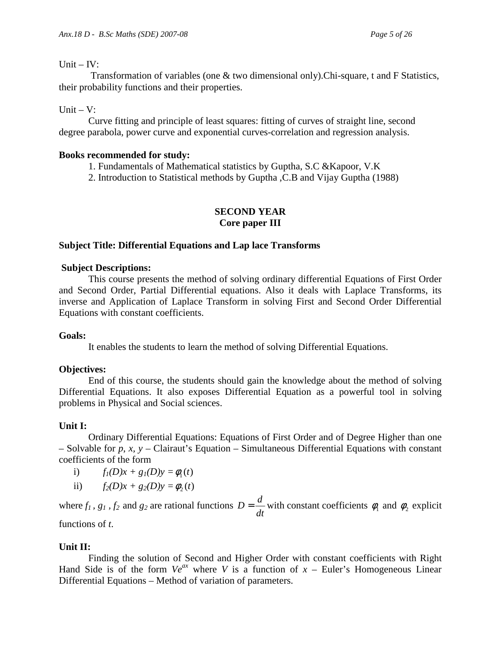#### Unit  $-$  IV:

 Transformation of variables (one & two dimensional only).Chi-square, t and F Statistics, their probability functions and their properties.

# Unit  $-V$ :

Curve fitting and principle of least squares: fitting of curves of straight line, second degree parabola, power curve and exponential curves-correlation and regression analysis.

# **Books recommended for study:**

1. Fundamentals of Mathematical statistics by Guptha, S.C &Kapoor, V.K

2. Introduction to Statistical methods by Guptha ,C.B and Vijay Guptha (1988)

# **SECOND YEAR Core paper III**

# **Subject Title: Differential Equations and Lap lace Transforms**

# **Subject Descriptions:**

 This course presents the method of solving ordinary differential Equations of First Order and Second Order, Partial Differential equations. Also it deals with Laplace Transforms, its inverse and Application of Laplace Transform in solving First and Second Order Differential Equations with constant coefficients.

# **Goals:**

It enables the students to learn the method of solving Differential Equations.

# **Objectives:**

 End of this course, the students should gain the knowledge about the method of solving Differential Equations. It also exposes Differential Equation as a powerful tool in solving problems in Physical and Social sciences.

# **Unit I:**

 Ordinary Differential Equations: Equations of First Order and of Degree Higher than one – Solvable for *p*, *x, y* – Clairaut's Equation – Simultaneous Differential Equations with constant coefficients of the form

- i)  $f_1(D)x + g_1(D)y = \phi_1(t)$
- ii)  $f_2(D)x + g_2(D)y = \phi_2(t)$

where  $f_1$ ,  $g_1$ ,  $f_2$  and  $g_2$  are rational functions *dt*  $D = \frac{d}{dt}$  with constant coefficients  $\phi_1$  and  $\phi_2$  explicit

functions of *t*.

# **Unit II:**

 Finding the solution of Second and Higher Order with constant coefficients with Right Hand Side is of the form  $Ve^{ax}$  where *V* is a function of  $x$  – Euler's Homogeneous Linear Differential Equations – Method of variation of parameters.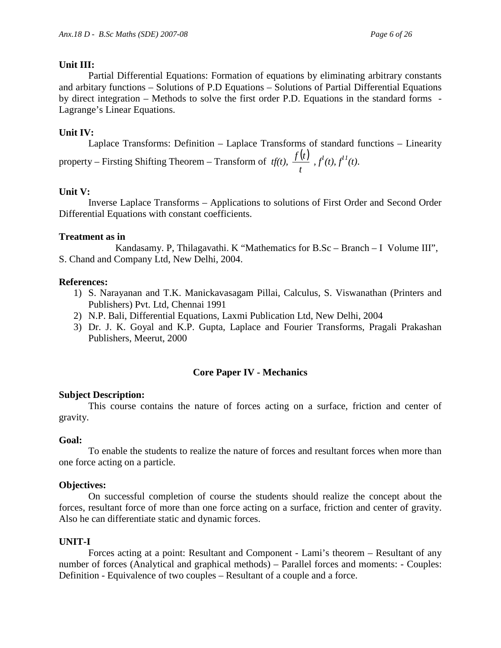#### **Unit III:**

 Partial Differential Equations: Formation of equations by eliminating arbitrary constants and arbitary functions – Solutions of P.D Equations – Solutions of Partial Differential Equations by direct integration – Methods to solve the first order P.D. Equations in the standard forms - Lagrange's Linear Equations.

# **Unit IV:**

 Laplace Transforms: Definition – Laplace Transforms of standard functions – Linearity property – Firsting Shifting Theorem – Transform of  $tf(t)$ ,  $\frac{f(t)}{f(t)}$ *t*  $\frac{f(t)}{f(t)}$ ,  $f^{1}(t)$ ,  $f^{11}(t)$ .

# **Unit V:**

 Inverse Laplace Transforms – Applications to solutions of First Order and Second Order Differential Equations with constant coefficients.

#### **Treatment as in**

 Kandasamy. P, Thilagavathi. K "Mathematics for B.Sc – Branch – I Volume III", S. Chand and Company Ltd, New Delhi, 2004.

#### **References:**

- 1) S. Narayanan and T.K. Manickavasagam Pillai, Calculus, S. Viswanathan (Printers and Publishers) Pvt. Ltd, Chennai 1991
- 2) N.P. Bali, Differential Equations, Laxmi Publication Ltd, New Delhi, 2004
- 3) Dr. J. K. Goyal and K.P. Gupta, Laplace and Fourier Transforms, Pragali Prakashan Publishers, Meerut, 2000

# **Core Paper IV - Mechanics**

# **Subject Description:**

 This course contains the nature of forces acting on a surface, friction and center of gravity.

#### **Goal:**

To enable the students to realize the nature of forces and resultant forces when more than one force acting on a particle.

# **Objectives:**

On successful completion of course the students should realize the concept about the forces, resultant force of more than one force acting on a surface, friction and center of gravity. Also he can differentiate static and dynamic forces.

# **UNIT-I**

Forces acting at a point: Resultant and Component - Lami's theorem – Resultant of any number of forces (Analytical and graphical methods) – Parallel forces and moments: - Couples: Definition - Equivalence of two couples – Resultant of a couple and a force.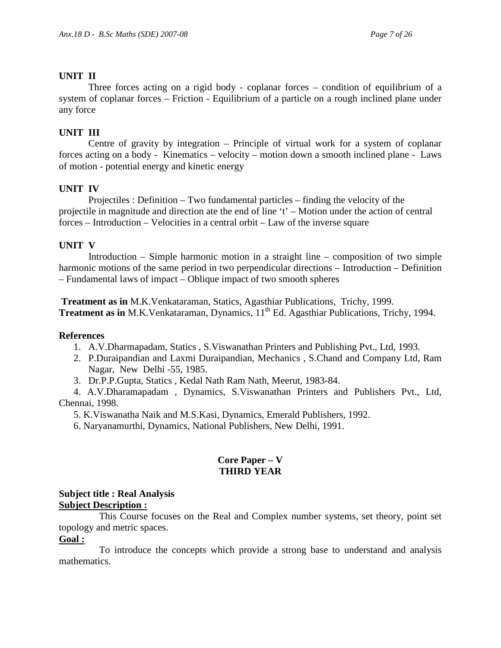# **UNIT II**

Three forces acting on a rigid body - coplanar forces – condition of equilibrium of a system of coplanar forces – Friction - Equilibrium of a particle on a rough inclined plane under any force

# **UNIT III**

Centre of gravity by integration – Principle of virtual work for a system of coplanar forces acting on a body - Kinematics – velocity – motion down a smooth inclined plane - Laws of motion - potential energy and kinetic energy

# **UNIT IV**

 Projectiles : Definition – Two fundamental particles – finding the velocity of the projectile in magnitude and direction ate the end of line 't' – Motion under the action of central forces – Introduction – Velocities in a central orbit – Law of the inverse square

# **UNIT V**

 Introduction – Simple harmonic motion in a straight line – composition of two simple harmonic motions of the same period in two perpendicular directions – Introduction – Definition – Fundamental laws of impact – Oblique impact of two smooth spheres

**Treatment as in** M.K.Venkataraman, Statics, Agasthiar Publications, Trichy, 1999. **Treatment as in** M.K.Venkataraman, Dynamics, 11<sup>th</sup> Ed. Agasthiar Publications, Trichy, 1994.

# **References**

- 1. A.V.Dharmapadam, Statics , S.Viswanathan Printers and Publishing Pvt., Ltd, 1993.
- 2. P.Duraipandian and Laxmi Duraipandian, Mechanics , S.Chand and Company Ltd, Ram Nagar, New Delhi -55, 1985.
- 3. Dr.P.P.Gupta, Statics , Kedal Nath Ram Nath, Meerut, 1983-84.

 4. A.V.Dharamapadam , Dynamics, S.Viswanathan Printers and Publishers Pvt., Ltd, Chennai, 1998.

- 5. K.Viswanatha Naik and M.S.Kasi, Dynamics, Emerald Publishers, 1992.
- 6. Naryanamurthi, Dynamics, National Publishers, New Delhi, 1991.

# **Core Paper – V THIRD YEAR**

# **Subject title : Real Analysis Subject Description :**

 This Course focuses on the Real and Complex number systems, set theory, point set topology and metric spaces.

# **Goal :**

 To introduce the concepts which provide a strong base to understand and analysis mathematics.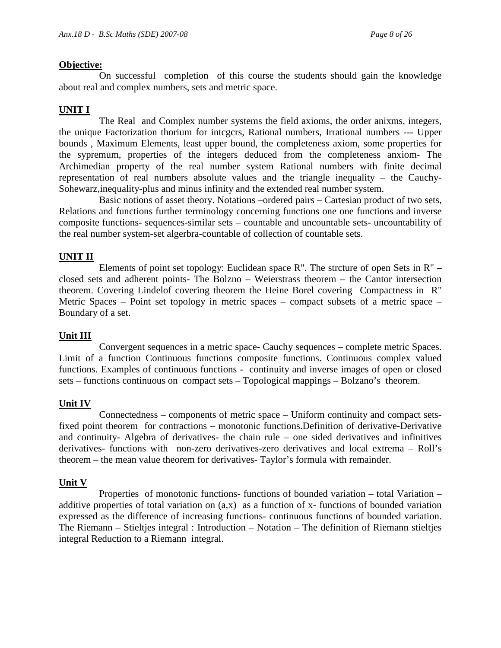#### **Objective:**

 On successful completion of this course the students should gain the knowledge about real and complex numbers, sets and metric space.

# **UNIT I**

 The Real and Complex number systems the field axioms, the order anixms, integers, the unique Factorization thorium for intcgcrs, Rational numbers, Irrational numbers --- Upper bounds , Maximum Elements, least upper bound, the completeness axiom, some properties for the sypremum, properties of the integers deduced from the completeness anxiom- The Archimedian property of the real number system Rational numbers with finite decimal representation of real numbers absolute values and the triangle inequality – the Cauchy-Sohewarz,inequality-plus and minus infinity and the extended real number system.

Basic notions of asset theory. Notations –ordered pairs – Cartesian product of two sets, Relations and functions further terminology concerning functions one one functions and inverse composite functions- sequences-similar sets – countable and uncountable sets- uncountability of the real number system-set algerbra-countable of collection of countable sets.

# **UNIT II**

 Elements of point set topology: Euclidean space R". The strcture of open Sets in R" – closed sets and adherent points- The Bolzno – Weierstrass theorem – the Cantor intersection theorem. Covering Lindelof covering theorem the Heine Borel covering Compactness in R" Metric Spaces – Point set topology in metric spaces – compact subsets of a metric space – Boundary of a set.

# **Unit III**

 Convergent sequences in a metric space- Cauchy sequences – complete metric Spaces. Limit of a function Continuous functions composite functions. Continuous complex valued functions. Examples of continuous functions - continuity and inverse images of open or closed sets – functions continuous on compact sets – Topological mappings – Bolzano's theorem.

# **Unit IV**

 Connectedness – components of metric space – Uniform continuity and compact setsfixed point theorem for contractions – monotonic functions.Definition of derivative-Derivative and continuity- Algebra of derivatives- the chain rule – one sided derivatives and infinitives derivatives- functions with non-zero derivatives-zero derivatives and local extrema – Roll's theorem – the mean value theorem for derivatives- Taylor's formula with remainder.

# **Unit V**

 Properties of monotonic functions- functions of bounded variation – total Variation – additive properties of total variation on (a,x) as a function of x- functions of bounded variation expressed as the difference of increasing functions- continuous functions of bounded variation. The Riemann – Stieltjes integral : Introduction – Notation – The definition of Riemann stieltjes integral Reduction to a Riemann integral.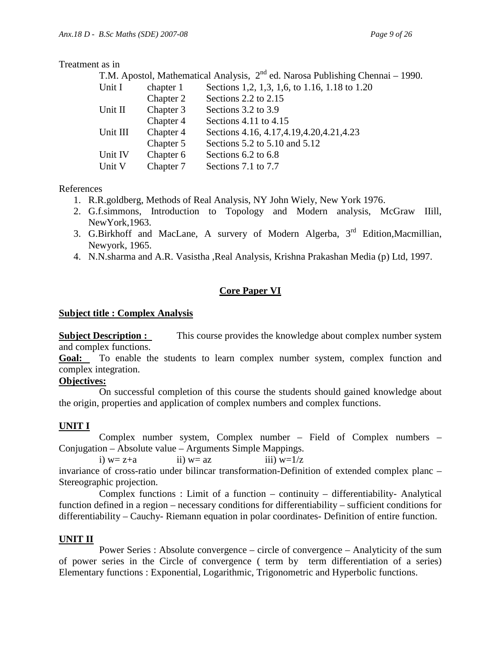#### Treatment as in

|          |           | T.M. Apostol, Mathematical Analysis, $2^{nd}$ ed. Narosa Publishing Chennai – 1990. |
|----------|-----------|-------------------------------------------------------------------------------------|
| Unit I   | chapter 1 | Sections 1,2, 1,3, 1,6, to 1.16, 1.18 to 1.20                                       |
|          | Chapter 2 | Sections 2.2 to 2.15                                                                |
| Unit II  | Chapter 3 | Sections 3.2 to 3.9                                                                 |
|          | Chapter 4 | Sections $4.11$ to $4.15$                                                           |
| Unit III | Chapter 4 | Sections 4.16, 4.17, 4.19, 4.20, 4.21, 4.23                                         |
|          | Chapter 5 | Sections 5.2 to 5.10 and 5.12                                                       |
| Unit IV  | Chapter 6 | Sections 6.2 to 6.8                                                                 |
| Unit V   | Chapter 7 | Sections 7.1 to 7.7                                                                 |

References

- 1. R.R.goldberg, Methods of Real Analysis, NY John Wiely, New York 1976.
- 2. G.f.simmons, Introduction to Topology and Modern analysis, McGraw IIill, NewYork,1963.
- 3. G.Birkhoff and MacLane, A survery of Modern Algerba, 3rd Edition,Macmillian, Newyork, 1965.
- 4. N.N.sharma and A.R. Vasistha ,Real Analysis, Krishna Prakashan Media (p) Ltd, 1997.

# **Core Paper VI**

#### **Subject title : Complex Analysis**

**Subject Description :** This course provides the knowledge about complex number system and complex functions.

**Goal:** To enable the students to learn complex number system, complex function and complex integration.

# **Objectives:**

 On successful completion of this course the students should gained knowledge about the origin, properties and application of complex numbers and complex functions.

# **UNIT I**

 Complex number system, Complex number – Field of Complex numbers – Conjugation – Absolute value – Arguments Simple Mappings.

i)  $w= z+a$  ii)  $w= az$  iii)  $w=1/z$ invariance of cross-ratio under bilincar transformation-Definition of extended complex planc – Stereographic projection.

 Complex functions : Limit of a function – continuity – differentiability- Analytical function defined in a region – necessary conditions for differentiability – sufficient conditions for differentiability – Cauchy- Riemann equation in polar coordinates- Definition of entire function.

# **UNIT II**

 Power Series : Absolute convergence – circle of convergence – Analyticity of the sum of power series in the Circle of convergence ( term by term differentiation of a series) Elementary functions : Exponential, Logarithmic, Trigonometric and Hyperbolic functions.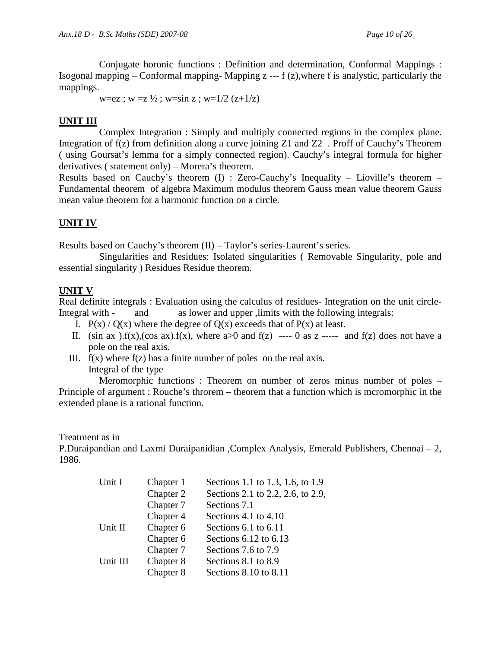Conjugate horonic functions : Definition and determination, Conformal Mappings : Isogonal mapping – Conformal mapping- Mapping  $z - f(z)$ , where f is analystic, particularly the mappings.

w=ez ;  $w = z \frac{1}{2}$ ; w=sin z ; w=1/2 (z+1/z)

# **UNIT III**

 Complex Integration : Simply and multiply connected regions in the complex plane. Integration of f(z) from definition along a curve joining Z1 and Z2 . Proff of Cauchy's Theorem ( using Goursat's lemma for a simply connected region). Cauchy's integral formula for higher derivatives ( statement only) – Morera's theorem.

Results based on Cauchy's theorem (I) : Zero-Cauchy's Inequality – Lioville's theorem – Fundamental theorem of algebra Maximum modulus theorem Gauss mean value theorem Gauss mean value theorem for a harmonic function on a circle.

# **UNIT IV**

Results based on Cauchy's theorem (II) – Taylor's series-Laurent's series.

 Singularities and Residues: Isolated singularities ( Removable Singularity, pole and essential singularity ) Residues Residue theorem.

# **UNIT V**

Real definite integrals : Evaluation using the calculus of residues- Integration on the unit circle-Integral with - and as lower and upper ,limits with the following integrals:

- I.  $P(x) / Q(x)$  where the degree of  $Q(x)$  exceeds that of  $P(x)$  at least.
- II. (sin ax ).f(x),(cos ax).f(x), where a  $0$  and f(z) ---- 0 as z ----- and f(z) does not have a pole on the real axis.
- III.  $f(x)$  where  $f(z)$  has a finite number of poles on the real axis. Integral of the type

 Meromorphic functions : Theorem on number of zeros minus number of poles – Principle of argument : Rouche's throrem – theorem that a function which is mcromorphic in the extended plane is a rational function.

Treatment as in

P.Duraipandian and Laxmi Duraipanidian ,Complex Analysis, Emerald Publishers, Chennai – 2, 1986.

| Unit I   | Chapter 1 | Sections 1.1 to 1.3, 1.6, to 1.9  |
|----------|-----------|-----------------------------------|
|          | Chapter 2 | Sections 2.1 to 2.2, 2.6, to 2.9, |
|          | Chapter 7 | Sections 7.1                      |
|          | Chapter 4 | Sections 4.1 to $4.10$            |
| Unit II  | Chapter 6 | Sections $6.1$ to $6.11$          |
|          | Chapter 6 | Sections $6.12$ to $6.13$         |
|          | Chapter 7 | Sections 7.6 to 7.9               |
| Unit III | Chapter 8 | Sections 8.1 to 8.9               |
|          | Chapter 8 | Sections 8.10 to 8.11             |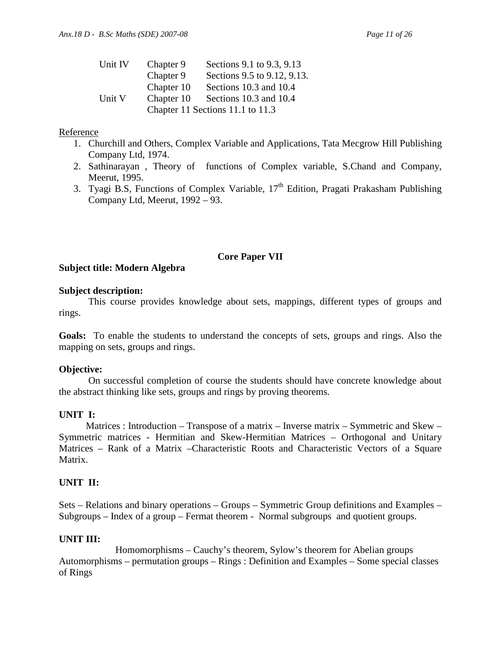| Unit IV | Chapter 9  | Sections 9.1 to 9.3, 9.13        |
|---------|------------|----------------------------------|
|         | Chapter 9  | Sections 9.5 to 9.12, 9.13.      |
|         | Chapter 10 | Sections 10.3 and 10.4           |
| Unit V  | Chapter 10 | Sections 10.3 and 10.4           |
|         |            | Chapter 11 Sections 11.1 to 11.3 |

# Reference

- 1. Churchill and Others, Complex Variable and Applications, Tata Mecgrow Hill Publishing Company Ltd, 1974.
- 2. Sathinarayan , Theory of functions of Complex variable, S.Chand and Company, Meerut, 1995.
- 3. Tyagi B.S, Functions of Complex Variable,  $17<sup>th</sup>$  Edition, Pragati Prakasham Publishing Company Ltd, Meerut, 1992 – 93.

# **Core Paper VII**

# **Subject title: Modern Algebra**

# **Subject description:**

This course provides knowledge about sets, mappings, different types of groups and rings.

**Goals:** To enable the students to understand the concepts of sets, groups and rings. Also the mapping on sets, groups and rings.

# **Objective:**

On successful completion of course the students should have concrete knowledge about the abstract thinking like sets, groups and rings by proving theorems.

# **UNIT I:**

Matrices : Introduction – Transpose of a matrix – Inverse matrix – Symmetric and Skew – Symmetric matrices - Hermitian and Skew-Hermitian Matrices – Orthogonal and Unitary Matrices – Rank of a Matrix –Characteristic Roots and Characteristic Vectors of a Square Matrix.

# **UNIT II:**

Sets – Relations and binary operations – Groups – Symmetric Group definitions and Examples – Subgroups – Index of a group – Fermat theorem - Normal subgroups and quotient groups.

# **UNIT III:**

 Homomorphisms – Cauchy's theorem, Sylow's theorem for Abelian groups Automorphisms – permutation groups – Rings : Definition and Examples – Some special classes of Rings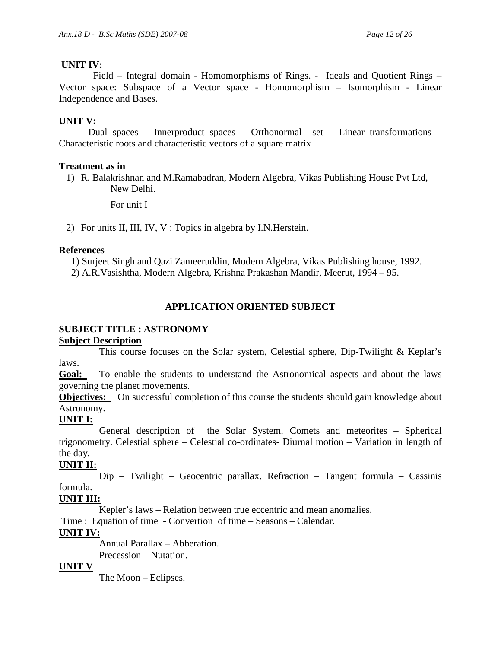# **UNIT IV:**

Field – Integral domain - Homomorphisms of Rings. - Ideals and Quotient Rings – Vector space: Subspace of a Vector space - Homomorphism – Isomorphism - Linear Independence and Bases.

# **UNIT V:**

Dual spaces – Innerproduct spaces – Orthonormal set – Linear transformations – Characteristic roots and characteristic vectors of a square matrix

# **Treatment as in**

1) R. Balakrishnan and M.Ramabadran, Modern Algebra, Vikas Publishing House Pvt Ltd, New Delhi.

For unit I

2) For units II, III, IV, V : Topics in algebra by I.N.Herstein.

# **References**

1) Surjeet Singh and Qazi Zameeruddin, Modern Algebra, Vikas Publishing house, 1992. 2) A.R.Vasishtha, Modern Algebra, Krishna Prakashan Mandir, Meerut, 1994 – 95.

# **APPLICATION ORIENTED SUBJECT**

# **SUBJECT TITLE : ASTRONOMY**

# **Subject Description**

 This course focuses on the Solar system, Celestial sphere, Dip-Twilight & Keplar's laws.

**Goal:** To enable the students to understand the Astronomical aspects and about the laws governing the planet movements.

**Objectives:** On successful completion of this course the students should gain knowledge about Astronomy.

# **UNIT I:**

 General description of the Solar System. Comets and meteorites – Spherical trigonometry. Celestial sphere – Celestial co-ordinates- Diurnal motion – Variation in length of the day.

# **UNIT II:**

 Dip – Twilight – Geocentric parallax. Refraction – Tangent formula – Cassinis formula.

# **UNIT III:**

Kepler's laws – Relation between true eccentric and mean anomalies.

Time : Equation of time - Convertion of time – Seasons – Calendar.

# **UNIT IV:**

 Annual Parallax – Abberation. Precession – Nutation.

# **UNIT V**

The Moon – Eclipses.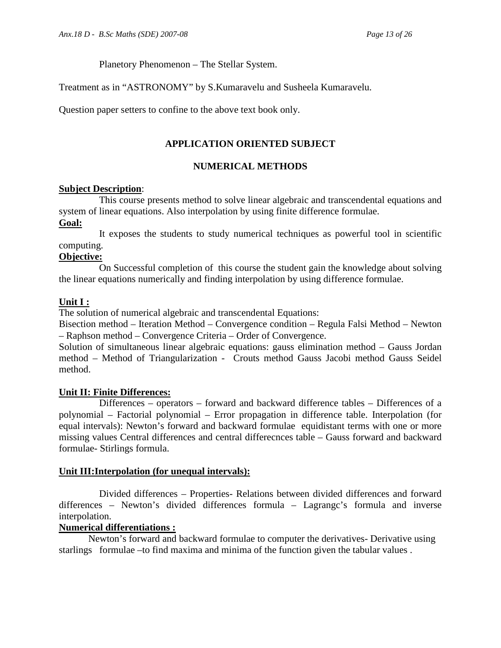Planetory Phenomenon – The Stellar System.

Treatment as in "ASTRONOMY" by S.Kumaravelu and Susheela Kumaravelu.

Question paper setters to confine to the above text book only.

# **APPLICATION ORIENTED SUBJECT**

# **NUMERICAL METHODS**

#### **Subject Description**:

 This course presents method to solve linear algebraic and transcendental equations and system of linear equations. Also interpolation by using finite difference formulae.

#### **Goal:**

 It exposes the students to study numerical techniques as powerful tool in scientific computing.

#### **Objective:**

 On Successful completion of this course the student gain the knowledge about solving the linear equations numerically and finding interpolation by using difference formulae.

# **Unit I :**

The solution of numerical algebraic and transcendental Equations:

Bisection method – Iteration Method – Convergence condition – Regula Falsi Method – Newton – Raphson method – Convergence Criteria – Order of Convergence.

Solution of simultaneous linear algebraic equations: gauss elimination method – Gauss Jordan method – Method of Triangularization - Crouts method Gauss Jacobi method Gauss Seidel method.

# **Unit II: Finite Differences:**

 Differences – operators – forward and backward difference tables – Differences of a polynomial – Factorial polynomial – Error propagation in difference table. Interpolation (for equal intervals): Newton's forward and backward formulae equidistant terms with one or more missing values Central differences and central differecnces table – Gauss forward and backward formulae- Stirlings formula.

# **Unit III:Interpolation (for unequal intervals):**

 Divided differences – Properties- Relations between divided differences and forward differences – Newton's divided differences formula – Lagrangc's formula and inverse interpolation.

#### **Numerical differentiations :**

 Newton's forward and backward formulae to computer the derivatives- Derivative using starlings formulae –to find maxima and minima of the function given the tabular values .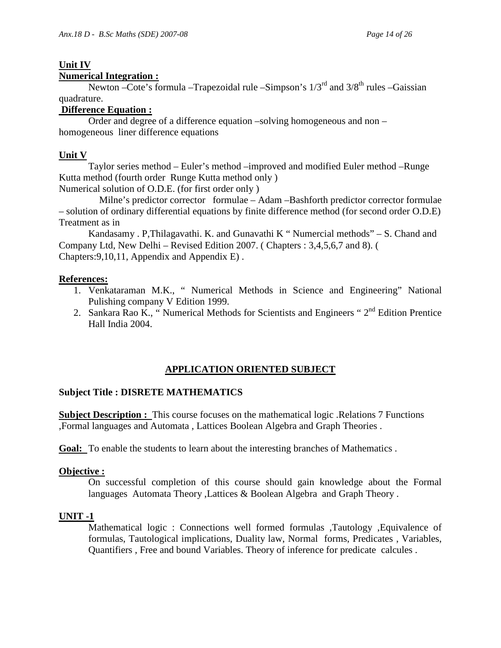# **Unit IV**

# **Numerical Integration :**

Newton –Cote's formula –Trapezoidal rule –Simpson's  $1/3^{rd}$  and  $3/8^{th}$  rules –Gaissian quadrature.

# **Difference Equation :**

 Order and degree of a difference equation –solving homogeneous and non – homogeneous liner difference equations

# **Unit V**

Taylor series method – Euler's method –improved and modified Euler method –Runge Kutta method (fourth order Runge Kutta method only )

Numerical solution of O.D.E. (for first order only )

 Milne's predictor corrector formulae – Adam –Bashforth predictor corrector formulae – solution of ordinary differential equations by finite difference method (for second order O.D.E) Treatment as in

 Kandasamy . P,Thilagavathi. K. and Gunavathi K " Numercial methods" – S. Chand and Company Ltd, New Delhi – Revised Edition 2007. ( Chapters : 3,4,5,6,7 and 8). ( Chapters:9,10,11, Appendix and Appendix E) .

# **References:**

- 1. Venkataraman M.K., " Numerical Methods in Science and Engineering" National Pulishing company V Edition 1999.
- 2. Sankara Rao K., "Numerical Methods for Scientists and Engineers " 2<sup>nd</sup> Edition Prentice Hall India 2004.

# **APPLICATION ORIENTED SUBJECT**

# **Subject Title : DISRETE MATHEMATICS**

**Subject Description :** This course focuses on the mathematical logic .Relations 7 Functions ,Formal languages and Automata , Lattices Boolean Algebra and Graph Theories .

**Goal:** To enable the students to learn about the interesting branches of Mathematics .

# **Objective :**

 On successful completion of this course should gain knowledge about the Formal languages Automata Theory ,Lattices & Boolean Algebra and Graph Theory .

# **UNIT -1**

 Mathematical logic : Connections well formed formulas ,Tautology ,Equivalence of formulas, Tautological implications, Duality law, Normal forms, Predicates , Variables, Quantifiers , Free and bound Variables. Theory of inference for predicate calcules .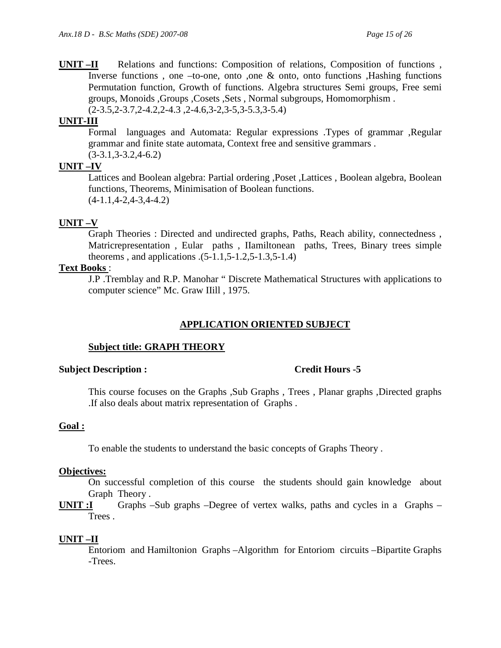**UNIT –II** Relations and functions: Composition of relations, Composition of functions , Inverse functions , one –to-one, onto ,one & onto, onto functions ,Hashing functions Permutation function, Growth of functions. Algebra structures Semi groups, Free semi groups, Monoids ,Groups ,Cosets ,Sets , Normal subgroups, Homomorphism . (2-3.5,2-3.7,2-4.2,2-4.3 ,2-4.6,3-2,3-5,3-5.3,3-5.4)

# **UNIT-III**

 Formal languages and Automata: Regular expressions .Types of grammar ,Regular grammar and finite state automata, Context free and sensitive grammars . (3-3.1,3-3.2,4-6.2)

# **UNIT –IV**

 Lattices and Boolean algebra: Partial ordering ,Poset ,Lattices , Boolean algebra, Boolean functions, Theorems, Minimisation of Boolean functions.  $(4-1.1, 4-2, 4-3, 4-4.2)$ 

# **UNIT –V**

 Graph Theories : Directed and undirected graphs, Paths, Reach ability, connectedness , Matricrepresentation , Eular paths , IIamiltonean paths, Trees, Binary trees simple theorems , and applications .(5-1.1,5-1.2,5-1.3,5-1.4)

# **Text Books** :

J.P .Tremblay and R.P. Manohar " Discrete Mathematical Structures with applications to computer science" Mc. Graw IIill , 1975.

# **APPLICATION ORIENTED SUBJECT**

# **Subject title: GRAPH THEORY**

# **Subject Description : Credit Hours -5**

 This course focuses on the Graphs ,Sub Graphs , Trees , Planar graphs ,Directed graphs .If also deals about matrix representation of Graphs .

# **Goal :**

To enable the students to understand the basic concepts of Graphs Theory .

#### **Objectives:**

 On successful completion of this course the students should gain knowledge about Graph Theory .

**UNIT :I** Graphs –Sub graphs –Degree of vertex walks, paths and cycles in a Graphs – Trees .

# **UNIT –II**

 Entoriom and Hamiltonion Graphs –Algorithm for Entoriom circuits –Bipartite Graphs -Trees.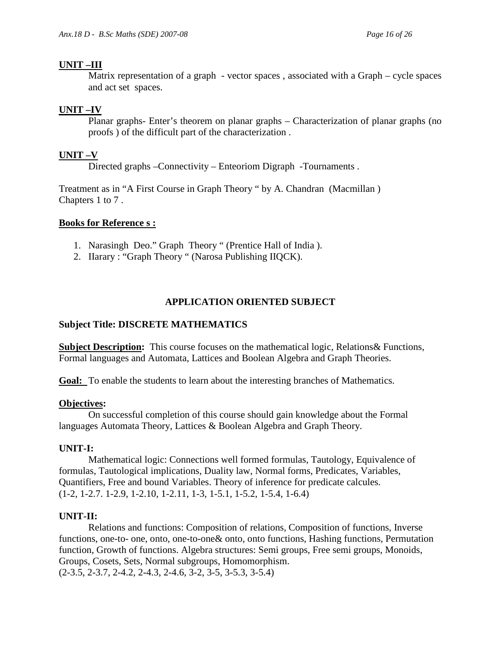# **UNIT –III**

 Matrix representation of a graph - vector spaces , associated with a Graph – cycle spaces and act set spaces.

# **UNIT –IV**

 Planar graphs- Enter's theorem on planar graphs – Characterization of planar graphs (no proofs ) of the difficult part of the characterization .

# **UNIT –V**

Directed graphs –Connectivity – Enteoriom Digraph -Tournaments .

Treatment as in "A First Course in Graph Theory " by A. Chandran (Macmillan ) Chapters 1 to 7 .

# **Books for Reference s :**

- 1. Narasingh Deo." Graph Theory " (Prentice Hall of India ).
- 2. IIarary : "Graph Theory " (Narosa Publishing IIQCK).

# **APPLICATION ORIENTED SUBJECT**

# **Subject Title: DISCRETE MATHEMATICS**

**Subject Description:** This course focuses on the mathematical logic, Relations & Functions, Formal languages and Automata, Lattices and Boolean Algebra and Graph Theories.

**Goal:** To enable the students to learn about the interesting branches of Mathematics.

#### **Objectives:**

 On successful completion of this course should gain knowledge about the Formal languages Automata Theory, Lattices & Boolean Algebra and Graph Theory.

# **UNIT-I:**

 Mathematical logic: Connections well formed formulas, Tautology, Equivalence of formulas, Tautological implications, Duality law, Normal forms, Predicates, Variables, Quantifiers, Free and bound Variables. Theory of inference for predicate calcules. (1-2, 1-2.7. 1-2.9, 1-2.10, 1-2.11, 1-3, 1-5.1, 1-5.2, 1-5.4, 1-6.4)

#### **UNIT-II:**

 Relations and functions: Composition of relations, Composition of functions, Inverse functions, one-to- one, onto, one-to-one& onto, onto functions, Hashing functions, Permutation function, Growth of functions. Algebra structures: Semi groups, Free semi groups, Monoids, Groups, Cosets, Sets, Normal subgroups, Homomorphism.

(2-3.5, 2-3.7, 2-4.2, 2-4.3, 2-4.6, 3-2, 3-5, 3-5.3, 3-5.4)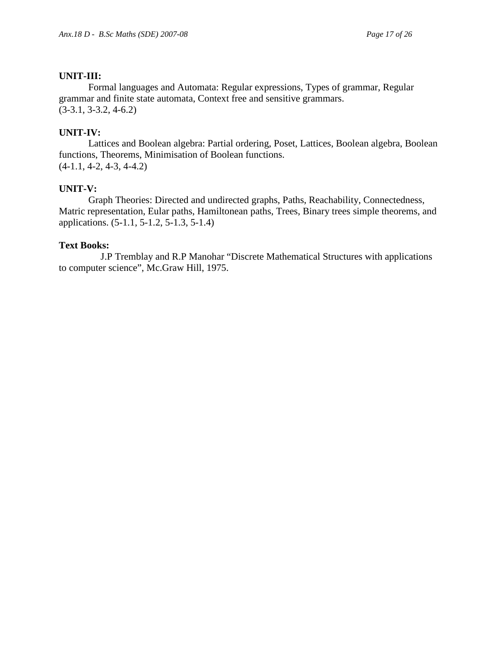#### **UNIT-III:**

 Formal languages and Automata: Regular expressions, Types of grammar, Regular grammar and finite state automata, Context free and sensitive grammars. (3-3.1, 3-3.2, 4-6.2)

# **UNIT-IV:**

 Lattices and Boolean algebra: Partial ordering, Poset, Lattices, Boolean algebra, Boolean functions, Theorems, Minimisation of Boolean functions. (4-1.1, 4-2, 4-3, 4-4.2)

#### **UNIT-V:**

 Graph Theories: Directed and undirected graphs, Paths, Reachability, Connectedness, Matric representation, Eular paths, Hamiltonean paths, Trees, Binary trees simple theorems, and applications. (5-1.1, 5-1.2, 5-1.3, 5-1.4)

#### **Text Books:**

 J.P Tremblay and R.P Manohar "Discrete Mathematical Structures with applications to computer science", Mc.Graw Hill, 1975.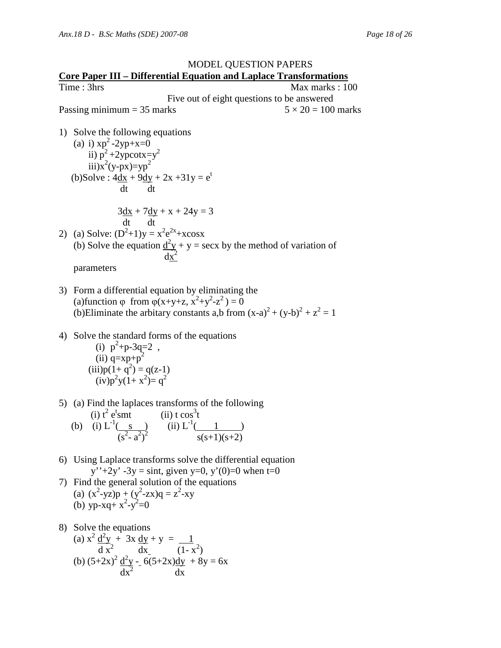

- 7) Find the general solution of the equations (a)  $(x^2-yz)p + (y^2-zx)q = z^2-xy$ (b)  $yp-xq+x^2-y^2=0$
- 8) Solve the equations (a)  $x^2 \frac{d^2y}{dx^2} + 3x \frac{dy}{dx} + y = 1$  $\frac{d^2x^2}{dx^2}$   $\frac{d^2x}{dx^2}$   $\frac{d^2x}{dx^2}$ (b)  $(5+2x)^2 \frac{d^2y}{ } - 6(5+2x) \frac{dy}{ } + 8y = 6x$  $dx^2$  dx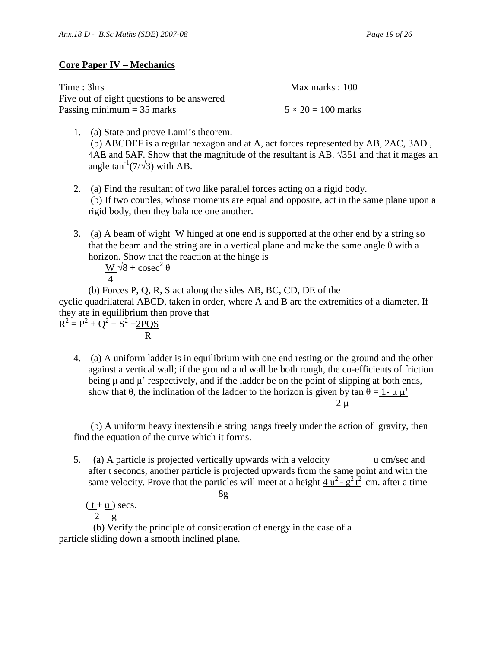# **Core Paper IV – Mechanics**

| Time: 3hrs                                 | Max marks : $100$         |
|--------------------------------------------|---------------------------|
| Five out of eight questions to be answered |                           |
| Passing minimum $=$ 35 marks               | $5 \times 20 = 100$ marks |

- 1. (a) State and prove Lami's theorem. (b) ABCDEF is a regular hexagon and at A, act forces represented by AB, 2AC, 3AD , 4AE and 5AF. Show that the magnitude of the resultant is AB.  $\sqrt{351}$  and that it mages an angle  $\tan^{-1}(7/\sqrt{3})$  with AB.
- 2. (a) Find the resultant of two like parallel forces acting on a rigid body. (b) If two couples, whose moments are equal and opposite, act in the same plane upon a rigid body, then they balance one another.
- 3. (a) A beam of wight W hinged at one end is supported at the other end by a string so that the beam and the string are in a vertical plane and make the same angle  $\theta$  with a horizon. Show that the reaction at the hinge is  $^{2}$  A

$$
\frac{W}{4}\sqrt{8} + \csc^2
$$

(b) Forces P, Q, R, S act along the sides AB, BC, CD, DE of the

cyclic quadrilateral ABCD, taken in order, where A and B are the extremities of a diameter. If they ate in equilibrium then prove that

 $R^2 = P^2 + Q^2 + S^2 + 2PQS$ R

> 4. (a) A uniform ladder is in equilibrium with one end resting on the ground and the other against a vertical wall; if the ground and wall be both rough, the co-efficients of friction being  $\mu$  and  $\mu'$  respectively, and if the ladder be on the point of slipping at both ends, show that  $\theta$ , the inclination of the ladder to the horizon is given by tan  $\theta = 1 - \mu \mu'$  $2 \mu$

 (b) A uniform heavy inextensible string hangs freely under the action of gravity, then find the equation of the curve which it forms.

5. (a) A particle is projected vertically upwards with a velocity u cm/sec and after t seconds, another particle is projected upwards from the same point and with the same velocity. Prove that the particles will meet at a height  $\frac{4 u^2 - g^2 t^2}{g}$  cm. after a time

8g

 $(\underline{t} + \underline{u})$  secs. 2 g

 (b) Verify the principle of consideration of energy in the case of a particle sliding down a smooth inclined plane.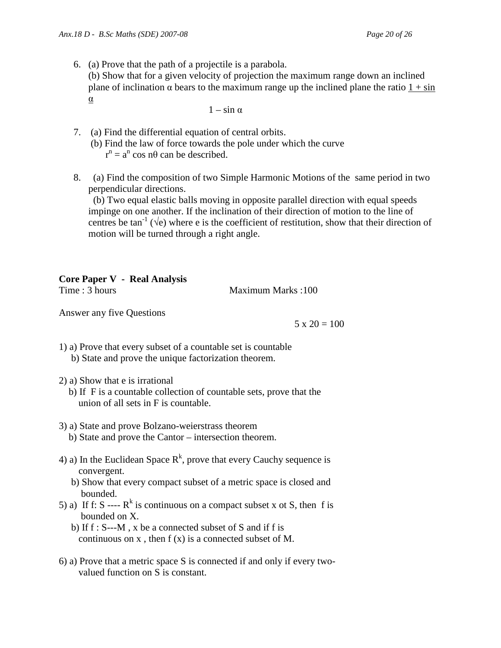6. (a) Prove that the path of a projectile is a parabola. (b) Show that for a given velocity of projection the maximum range down an inclined plane of inclination  $\alpha$  bears to the maximum range up the inclined plane the ratio  $1 + \sin$ α

 $1 - \sin \alpha$ 

- 7. (a) Find the differential equation of central orbits.
	- (b) Find the law of force towards the pole under which the curve  $r^n = a^n \cos n\theta$  can be described.
- 8. (a) Find the composition of two Simple Harmonic Motions of the same period in two perpendicular directions.

 (b) Two equal elastic balls moving in opposite parallel direction with equal speeds impinge on one another. If the inclination of their direction of motion to the line of centres be tan<sup>-1</sup> ( $\sqrt{e}$ ) where e is the coefficient of restitution, show that their direction of motion will be turned through a right angle.

# **Core Paper V - Real Analysis**

Time : 3 hours Maximum Marks : 100

Answer any five Questions

 $5 \times 20 = 100$ 

1) a) Prove that every subset of a countable set is countable b) State and prove the unique factorization theorem.

- 2) a) Show that e is irrational
	- b) If F is a countable collection of countable sets, prove that the union of all sets in F is countable.
- 3) a) State and prove Bolzano-weierstrass theorem
	- b) State and prove the Cantor intersection theorem.
- 4) a) In the Euclidean Space  $R^k$ , prove that every Cauchy sequence is convergent.
	- b) Show that every compact subset of a metric space is closed and bounded.
- 5) a) If f: S ----  $R^k$  is continuous on a compact subset x ot S, then f is bounded on X.
	- b) If f : S---M , x be a connected subset of S and if f is continuous on  $x$ , then  $f(x)$  is a connected subset of M.
- 6) a) Prove that a metric space S is connected if and only if every two valued function on S is constant.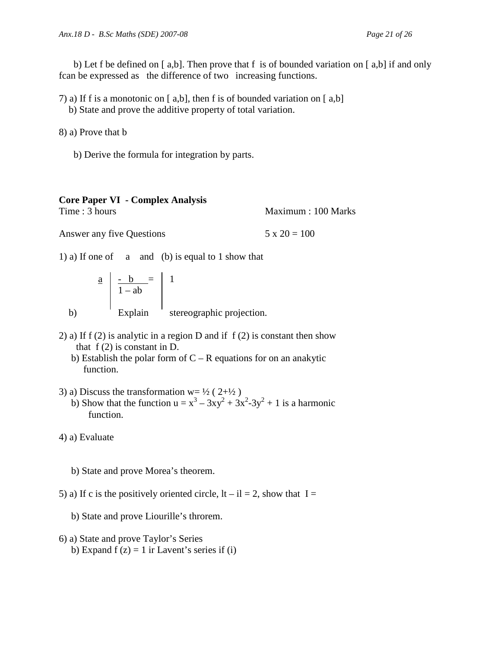b) Let f be defined on  $[a,b]$ . Then prove that f is of bounded variation on  $[a,b]$  if and only fcan be expressed as the difference of two increasing functions.

7) a) If f is a monotonic on [ a,b], then f is of bounded variation on [ a,b]

b) State and prove the additive property of total variation.

8) a) Prove that b

b) Derive the formula for integration by parts.

| <b>Core Paper VI - Complex Analysis</b> |                     |
|-----------------------------------------|---------------------|
| Time : 3 hours                          | Maximum : 100 Marks |
| Answer any five Questions               | $5 \times 20 = 100$ |

1) a) If one of a and (b) is equal to 1 show that

$$
\begin{array}{c|c}\n\mathbf{a} & \mathbf{b} & = \\
\hline\n\mathbf{1} - \mathbf{a}\mathbf{b} & \mathbf{1} \\
\mathbf{b}) & \mathbf{Explain} \\
\end{array}
$$
\n The series of the graph is the *tric*-projection.

- 2) a) If  $f(2)$  is analytic in a region D and if  $f(2)$  is constant then show that  $f(2)$  is constant in D.
	- b) Establish the polar form of  $C R$  equations for on an anakytic function.
- 3) a) Discuss the transformation  $w = \frac{1}{2} (2 + \frac{1}{2})$ b) Show that the function  $u = x^3 - 3xy^2 + 3x^2 - 3y^2 + 1$  is a harmonic function.

4) a) Evaluate

- b) State and prove Morea's theorem.
- 5) a) If c is the positively oriented circle,  $|t i| = 2$ , show that  $I =$

b) State and prove Liourille's throrem.

- 6) a) State and prove Taylor's Series
	- b) Expand  $f(z) = 1$  ir Lavent's series if (i)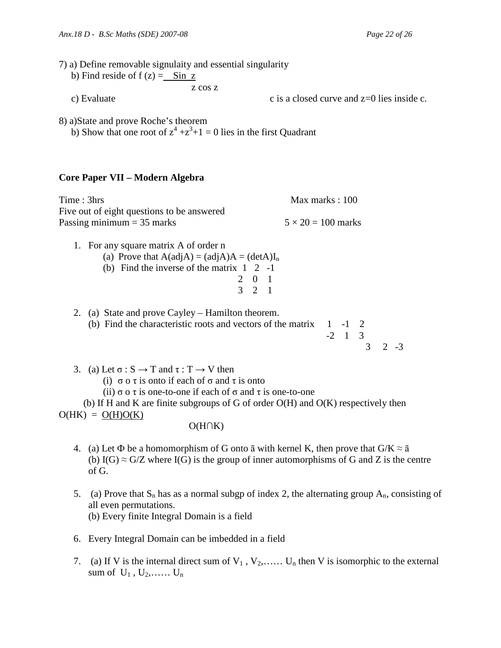| 7) a) Define removable signulaity and essential singularity<br>b) Find reside of $f(z) = \sin z$<br>z cos z                                                                                                                                |                                                                                                                                                                                                             |
|--------------------------------------------------------------------------------------------------------------------------------------------------------------------------------------------------------------------------------------------|-------------------------------------------------------------------------------------------------------------------------------------------------------------------------------------------------------------|
| c) Evaluate                                                                                                                                                                                                                                | c is a closed curve and $z=0$ lies inside c.                                                                                                                                                                |
| 8) a) State and prove Roche's theorem<br>b) Show that one root of $z^4 + z^3 + 1 = 0$ lies in the first Quadrant                                                                                                                           |                                                                                                                                                                                                             |
| Core Paper VII – Modern Algebra                                                                                                                                                                                                            |                                                                                                                                                                                                             |
| Time: 3hrs                                                                                                                                                                                                                                 | Max marks: 100                                                                                                                                                                                              |
| Five out of eight questions to be answered<br>Passing minimum $=$ 35 marks                                                                                                                                                                 | $5 \times 20 = 100$ marks                                                                                                                                                                                   |
| 1. For any square matrix A of order n<br>(a) Prove that $A(\text{adj}A) = (\text{adj}A)A = (\text{det}A)I_n$<br>(b) Find the inverse of the matrix $1 \quad 2 \quad -1$                                                                    | $\begin{array}{ccc} 2 & 0 & 1 \\ 3 & 2 & 1 \end{array}$                                                                                                                                                     |
| 2. (a) State and prove Cayley – Hamilton theorem.<br>(b) Find the characteristic roots and vectors of the matrix                                                                                                                           | $\begin{array}{ccc} 1 & -1 & 2 \\ -2 & 1 & 3 \\ 3 & 3 \end{array}$<br>$2 - 3$                                                                                                                               |
| 3. (a) Let $\sigma : S \to T$ and $\tau : T \to V$ then<br>(i) $\sigma$ o $\tau$ is onto if each of $\sigma$ and $\tau$ is onto<br>(ii) $\sigma$ o $\tau$ is one-to-one if each of $\sigma$ and $\tau$ is one-to-one<br>$O(HK) = O(H)O(K)$ | (b) If H and K are finite subgroups of G of order $O(H)$ and $O(K)$ respectively then                                                                                                                       |
| $O(H \cap K)$                                                                                                                                                                                                                              |                                                                                                                                                                                                             |
| 4.<br>of G.                                                                                                                                                                                                                                | (a) Let $\Phi$ be a homomorphism of G onto $\bar{a}$ with kernel K, then prove that $G/K \approx \bar{a}$<br>(b) I(G) $\approx$ G/Z where I(G) is the group of inner automorphisms of G and Z is the centre |
|                                                                                                                                                                                                                                            | ونفو وسوءا فرواء المركب والروبة فروسو والموراء                                                                                                                                                              |

- 5. (a) Prove that  $S_n$  has as a normal subgp of index 2, the alternating group  $A_n$ , consisting of all even permutations. (b) Every finite Integral Domain is a field
- 6. Every Integral Domain can be imbedded in a field
- 7. (a) If V is the internal direct sum of  $V_1$ ,  $V_2$ ,...... U<sub>n</sub> then V is isomorphic to the external sum of  $U_1$ ,  $U_2$ , ...  $U_n$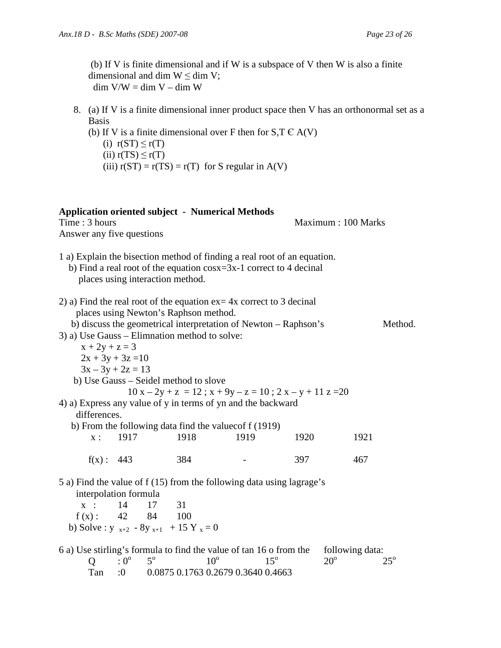Basis

 (b) If V is finite dimensional and if W is a subspace of V then W is also a finite dimensional and dim  $W \le$  dim V;  $\dim$  V/W =  $\dim$  V –  $\dim$  W

8. (a) If V is a finite dimensional inner product space then V has an orthonormal set as a

- (b) If V is a finite dimensional over F then for  $S, T \in A(V)$ (i)  $r(ST) \leq r(T)$ (ii)  $r(TS) \leq r(T)$ (iii)  $r(ST) = r(TS) = r(T)$  for S regular in A(V) **Application oriented subject - Numerical Methods**  Time : 3 hours and the set of the set of the Maximum : 100 Marks Answer any five questions 1 a) Explain the bisection method of finding a real root of an equation. b) Find a real root of the equation cosx=3x-1 correct to 4 decinal places using interaction method. 2) a) Find the real root of the equation ex= 4x correct to 3 decinal places using Newton's Raphson method. b) discuss the geometrical interpretation of Newton – Raphson's Method. 3) a) Use Gauss – Elimnation method to solve:  $x + 2y + z = 3$  $2x + 3y + 3z = 10$  $3x - 3y + 2z = 13$  b) Use Gauss – Seidel method to slove  $10 x - 2y + z = 12$ ;  $x + 9y - z = 10$ ;  $2x - y + 11z = 20$ 4) a) Express any value of y in terms of yn and the backward differences. b) From the following data find the valuecof f (1919) x : 1917 1918 1919 1920 1921  $f(x): 443 \t 384 \t - \t 397 \t 467$ 5 a) Find the value of f (15) from the following data using lagrage's interpolation formula x : 14 17 31  $f(x)$ : 42 84 100 b) Solve :  $y_{x+2} - 8y_{x+1} + 15Y_x = 0$ 6 a) Use stirling's formula to find the value of tan 16 o from the following data:  $5^{\rm o}$  $10^{\circ}$  $15^\circ$  $20^{\circ}$  $25^\circ$ 
	- $Q : 0^{\circ}$ <br>Tan :0  $1.0$  0.0875 0.1763 0.2679 0.3640 0.4663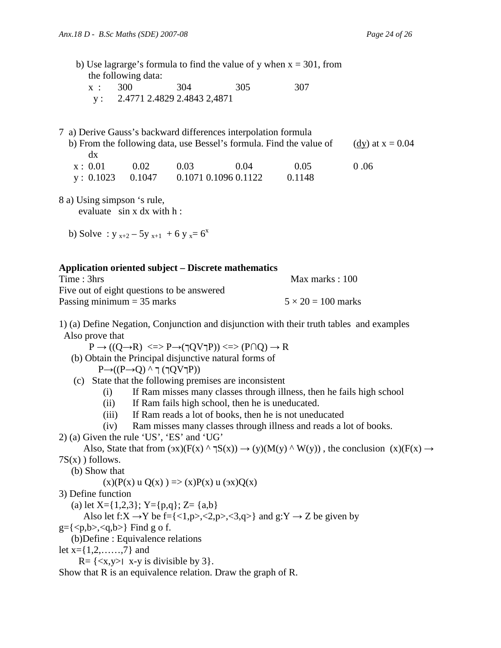b) Use lagrarge's formula to find the value of y when  $x = 301$ , from the following data:

| x : 300 | 304                              | 305 | 307 |
|---------|----------------------------------|-----|-----|
|         | y: $2.4771$ 2.4829 2.4843 2,4871 |     |     |

#### 7 a) Derive Gauss's backward differences interpolation formula

 $y: 0.1023 \t 0.1047 \t 0.1071 \t 0.1096 \t 0.1122 \t 0.1148$ 

|         |      |      |      | b) From the following data, use Bessel's formula. Find the value of | (dy) at $x = 0.04$ |  |
|---------|------|------|------|---------------------------------------------------------------------|--------------------|--|
| dx      |      |      |      |                                                                     |                    |  |
| x: 0.01 | 0.02 | 0.03 | 0.04 | 0.05                                                                | 0.06               |  |

8 a) Using simpson 's rule,

evaluate sin x dx with h :

b) Solve :  $y_{x+2} - 5y_{x+1} + 6y_x = 6^x$ 

#### **Application oriented subject – Discrete mathematics**

| Time: 3hrs                                 | Max marks : $100$         |
|--------------------------------------------|---------------------------|
| Five out of eight questions to be answered |                           |
| Passing minimum $=$ 35 marks               | $5 \times 20 = 100$ marks |

1) (a) Define Negation, Conjunction and disjunction with their truth tables and examples Also prove that

 $P \rightarrow ((Q \rightarrow R) \iff P \rightarrow (\neg Q \lor \neg P)) \iff (P \cap Q) \rightarrow R$ 

- (b) Obtain the Principal disjunctive natural forms of  $P\rightarrow (P\rightarrow Q) \land \top(TQV)P)$ )
- (c) State that the following premises are inconsistent
	- (i) If Ram misses many classes through illness, then he fails high school
	- (ii) If Ram fails high school, then he is uneducated.
	- (iii) If Ram reads a lot of books, then he is not uneducated
	- (iv) Ram misses many classes through illness and reads a lot of books.
- 2) (a) Given the rule 'US', 'ES' and 'UG'

Also, State that from  $(\alpha x)(F(x) \land \beta(x)) \rightarrow (y)(M(y) \land W(y))$ , the conclusion  $(x)(F(x) \rightarrow$ 7S(x) ) follows.

(b) Show that

 $(x)(P(x) u Q(x)) \Rightarrow (x)P(x) u (9x)Q(x)$ 

- 3) Define function
	- (a) let  $X = \{1,2,3\}$ ;  $Y = \{p,q\}$ ;  $Z = \{a,b\}$

Also let f:X  $\rightarrow$ Y be f={<1,p>,<2,p>,<3,q>} and g:Y  $\rightarrow$  Z be given by

- $g = \{ \langle p,b \rangle, \langle q,b \rangle \}$  Find g o f.
- (b)Define : Equivalence relations
- let  $x = \{1, 2, \ldots, 7\}$  and

 $R = \{ \langle x, y \rangle \mid x-y \text{ is divisible by 3} \}.$ 

Show that R is an equivalence relation. Draw the graph of R.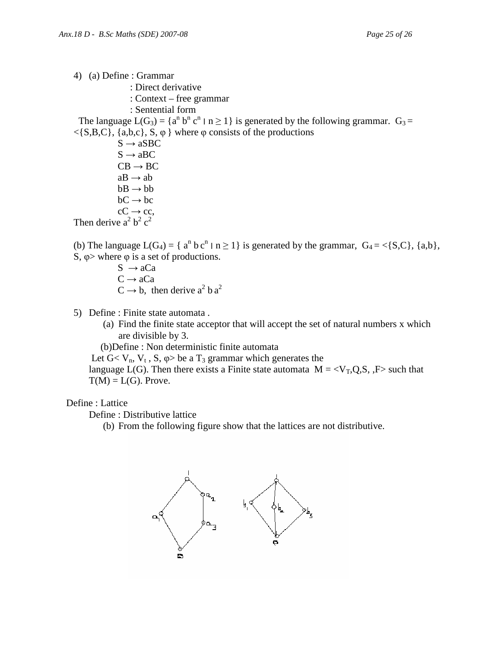- 4) (a) Define : Grammar
	- : Direct derivative
	- : Context free grammar
	- : Sentential form

The language  $L(G_3) = \{a^n b^n c^n \mid n \ge 1\}$  is generated by the following grammar.  $G_3 =$  $\langle S, B, C \rangle$ , {a,b,c}, S,  $\varphi$ } where  $\varphi$  consists of the productions

 $S \rightarrow aSBC$  $S \rightarrow aBC$  $CB \rightarrow BC$  $aB \rightarrow ab$  $bB \rightarrow bb$  $bC \rightarrow bc$  $cC \rightarrow cc$ , Then derive  $a^2 b^2 c^2$ 

(b) The language  $L(G_4) = \{a^n b c^n \mid n \ge 1\}$  is generated by the grammar,  $G_4 = \{S, C\}$ ,  $\{a, b\}$ , S,  $\varphi$  where  $\varphi$  is a set of productions.

- $S \rightarrow aCa$  $C \rightarrow aCa$  $C \rightarrow b$ , then derive  $a^2 b a^2$
- 5) Define : Finite state automata .
	- (a) Find the finite state acceptor that will accept the set of natural numbers x which are divisible by 3.

(b)Define : Non deterministic finite automata

Let  $G < V_n$ ,  $V_t$ ,  $S$ ,  $\varphi$  be a  $T_3$  grammar which generates the

language L(G). Then there exists a Finite state automata  $M = \langle V_T, Q, S, F \rangle$  such that  $T(M) = L(G)$ . Prove.

#### Define : Lattice

Define : Distributive lattice

(b) From the following figure show that the lattices are not distributive.